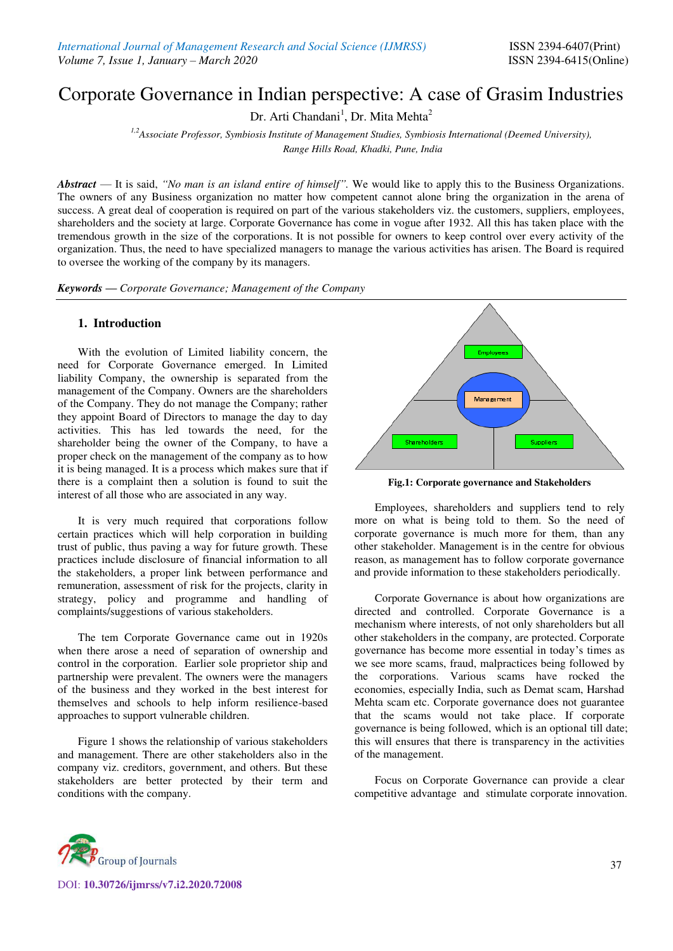# Corporate Governance in Indian perspective: A case of Grasim Industries

Dr. Arti Chandani<sup>1</sup>, Dr. Mita Mehta<sup>2</sup>

*1,2Associate Professor, Symbiosis Institute of Management Studies, Symbiosis International (Deemed University), Range Hills Road, Khadki, Pune, India*

*Abstract* — It is said, *"No man is an island entire of himself".* We would like to apply this to the Business Organizations. The owners of any Business organization no matter how competent cannot alone bring the organization in the arena of success. A great deal of cooperation is required on part of the various stakeholders viz. the customers, suppliers, employees, shareholders and the society at large. Corporate Governance has come in vogue after 1932. All this has taken place with the tremendous growth in the size of the corporations. It is not possible for owners to keep control over every activity of the organization. Thus, the need to have specialized managers to manage the various activities has arisen. The Board is required to oversee the working of the company by its managers.

*Keywords — Corporate Governance; Management of the Company*

#### **1. Introduction**

With the evolution of Limited liability concern, the need for Corporate Governance emerged. In Limited liability Company, the ownership is separated from the management of the Company. Owners are the shareholders of the Company. They do not manage the Company; rather they appoint Board of Directors to manage the day to day activities. This has led towards the need, for the shareholder being the owner of the Company, to have a proper check on the management of the company as to how it is being managed. It is a process which makes sure that if there is a complaint then a solution is found to suit the interest of all those who are associated in any way.

It is very much required that corporations follow certain practices which will help corporation in building trust of public, thus paving a way for future growth. These practices include disclosure of financial information to all the stakeholders, a proper link between performance and remuneration, assessment of risk for the projects, clarity in strategy, policy and programme and handling of complaints/suggestions of various stakeholders.

The tem Corporate Governance came out in 1920s when there arose a need of separation of ownership and control in the corporation. Earlier sole proprietor ship and partnership were prevalent. The owners were the managers of the business and they worked in the best interest for themselves and schools to help inform resilience-based approaches to support vulnerable children.

Figure 1 shows the relationship of various stakeholders and management. There are other stakeholders also in the company viz. creditors, government, and others. But these stakeholders are better protected by their term and conditions with the company.



**Fig.1: Corporate governance and Stakeholders** 

Employees, shareholders and suppliers tend to rely more on what is being told to them. So the need of corporate governance is much more for them, than any other stakeholder. Management is in the centre for obvious reason, as management has to follow corporate governance and provide information to these stakeholders periodically.

Corporate Governance is about how organizations are directed and controlled. Corporate Governance is a mechanism where interests, of not only shareholders but all other stakeholders in the company, are protected. Corporate governance has become more essential in today's times as we see more scams, fraud, malpractices being followed by the corporations. Various scams have rocked the economies, especially India, such as Demat scam, Harshad Mehta scam etc. Corporate governance does not guarantee that the scams would not take place. If corporate governance is being followed, which is an optional till date; this will ensures that there is transparency in the activities of the management.

Focus on Corporate Governance can provide a clear competitive advantage and stimulate corporate innovation.

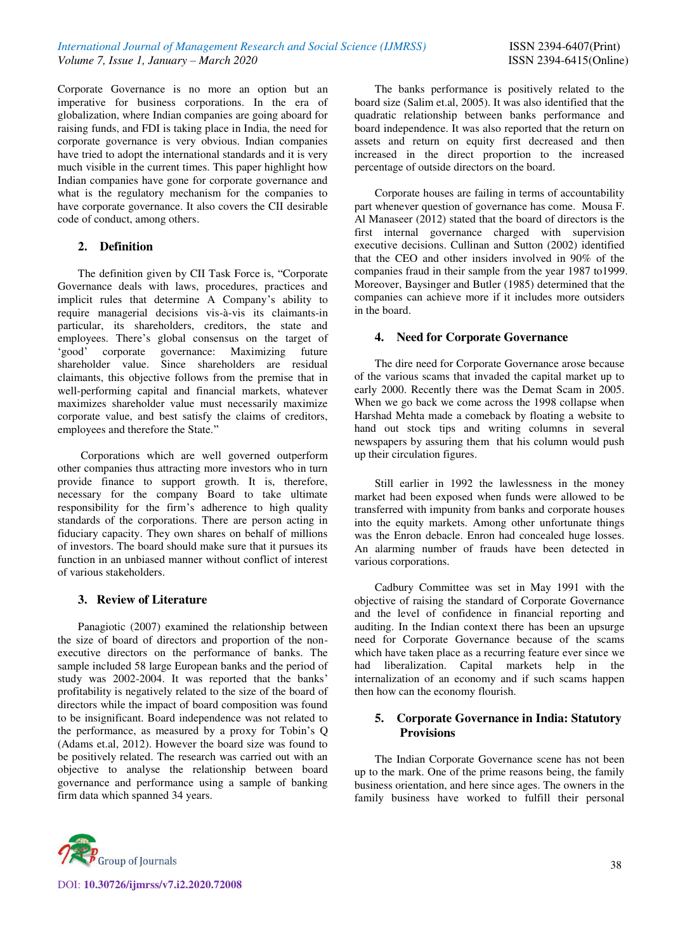Corporate Governance is no more an option but an imperative for business corporations. In the era of globalization, where Indian companies are going aboard for raising funds, and FDI is taking place in India, the need for corporate governance is very obvious. Indian companies have tried to adopt the international standards and it is very much visible in the current times. This paper highlight how Indian companies have gone for corporate governance and what is the regulatory mechanism for the companies to have corporate governance. It also covers the CII desirable code of conduct, among others.

# **2. Definition**

The definition given by CII Task Force is, "Corporate Governance deals with laws, procedures, practices and implicit rules that determine A Company's ability to require managerial decisions vis-à-vis its claimants-in particular, its shareholders, creditors, the state and employees. There's global consensus on the target of 'good' corporate governance: Maximizing future shareholder value. Since shareholders are residual claimants, this objective follows from the premise that in well-performing capital and financial markets, whatever maximizes shareholder value must necessarily maximize corporate value, and best satisfy the claims of creditors, employees and therefore the State."

 Corporations which are well governed outperform other companies thus attracting more investors who in turn provide finance to support growth. It is, therefore, necessary for the company Board to take ultimate responsibility for the firm's adherence to high quality standards of the corporations. There are person acting in fiduciary capacity. They own shares on behalf of millions of investors. The board should make sure that it pursues its function in an unbiased manner without conflict of interest of various stakeholders.

# **3. Review of Literature**

Panagiotic (2007) examined the relationship between the size of board of directors and proportion of the nonexecutive directors on the performance of banks. The sample included 58 large European banks and the period of study was 2002-2004. It was reported that the banks' profitability is negatively related to the size of the board of directors while the impact of board composition was found to be insignificant. Board independence was not related to the performance, as measured by a proxy for Tobin's Q (Adams et.al, 2012). However the board size was found to be positively related. The research was carried out with an objective to analyse the relationship between board governance and performance using a sample of banking firm data which spanned 34 years.

The banks performance is positively related to the board size (Salim et.al, 2005). It was also identified that the quadratic relationship between banks performance and board independence. It was also reported that the return on assets and return on equity first decreased and then increased in the direct proportion to the increased percentage of outside directors on the board.

Corporate houses are failing in terms of accountability part whenever question of governance has come. Mousa F. Al Manaseer (2012) stated that the board of directors is the first internal governance charged with supervision executive decisions. Cullinan and Sutton (2002) identified that the CEO and other insiders involved in 90% of the companies fraud in their sample from the year 1987 to1999. Moreover, Baysinger and Butler (1985) determined that the companies can achieve more if it includes more outsiders in the board.

#### **4. Need for Corporate Governance**

The dire need for Corporate Governance arose because of the various scams that invaded the capital market up to early 2000. Recently there was the Demat Scam in 2005. When we go back we come across the 1998 collapse when Harshad Mehta made a comeback by floating a website to hand out stock tips and writing columns in several newspapers by assuring them that his column would push up their circulation figures.

Still earlier in 1992 the lawlessness in the money market had been exposed when funds were allowed to be transferred with impunity from banks and corporate houses into the equity markets. Among other unfortunate things was the Enron debacle. Enron had concealed huge losses. An alarming number of frauds have been detected in various corporations.

Cadbury Committee was set in May 1991 with the objective of raising the standard of Corporate Governance and the level of confidence in financial reporting and auditing. In the Indian context there has been an upsurge need for Corporate Governance because of the scams which have taken place as a recurring feature ever since we had liberalization. Capital markets help in the internalization of an economy and if such scams happen then how can the economy flourish.

# **5. Corporate Governance in India: Statutory Provisions**

The Indian Corporate Governance scene has not been up to the mark. One of the prime reasons being, the family business orientation, and here since ages. The owners in the family business have worked to fulfill their personal

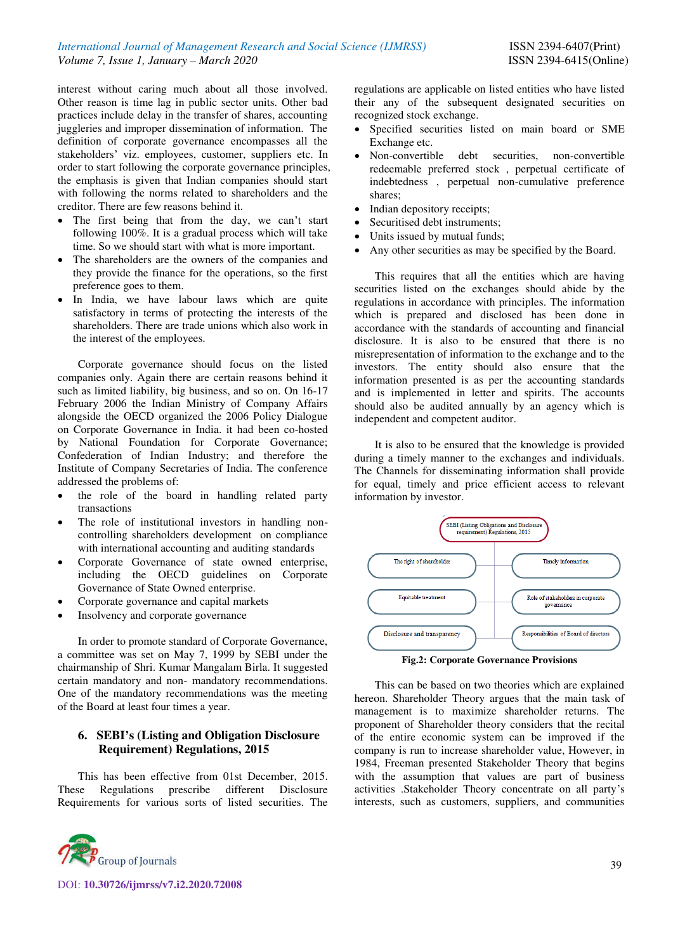interest without caring much about all those involved. Other reason is time lag in public sector units. Other bad practices include delay in the transfer of shares, accounting juggleries and improper dissemination of information. The definition of corporate governance encompasses all the stakeholders' viz. employees, customer, suppliers etc. In order to start following the corporate governance principles, the emphasis is given that Indian companies should start with following the norms related to shareholders and the creditor. There are few reasons behind it.

- The first being that from the day, we can't start following 100%. It is a gradual process which will take time. So we should start with what is more important.
- The shareholders are the owners of the companies and they provide the finance for the operations, so the first preference goes to them.
- In India, we have labour laws which are quite satisfactory in terms of protecting the interests of the shareholders. There are trade unions which also work in the interest of the employees.

Corporate governance should focus on the listed companies only. Again there are certain reasons behind it such as limited liability, big business, and so on. On 16-17 February 2006 the Indian Ministry of Company Affairs alongside the OECD organized the 2006 Policy Dialogue on Corporate Governance in India. it had been co-hosted by National Foundation for Corporate Governance; Confederation of Indian Industry; and therefore the Institute of Company Secretaries of India. The conference addressed the problems of:

- the role of the board in handling related party transactions
- The role of institutional investors in handling noncontrolling shareholders development on compliance with international accounting and auditing standards
- Corporate Governance of state owned enterprise, including the OECD guidelines on Corporate Governance of State Owned enterprise.
- Corporate governance and capital markets
- Insolvency and corporate governance

In order to promote standard of Corporate Governance, a committee was set on May 7, 1999 by SEBI under the chairmanship of Shri. Kumar Mangalam Birla. It suggested certain mandatory and non- mandatory recommendations. One of the mandatory recommendations was the meeting of the Board at least four times a year.

# **6. SEBI's (Listing and Obligation Disclosure Requirement) Regulations, 2015**

This has been effective from 01st December, 2015. These Regulations prescribe different Disclosure Requirements for various sorts of listed securities. The



DOI: **10.30726/ijmrss/v7.i2.2020.72008**

regulations are applicable on listed entities who have listed their any of the subsequent designated securities on recognized stock exchange.

- Specified securities listed on main board or SME Exchange etc.
- Non-convertible debt securities, non-convertible redeemable preferred stock , perpetual certificate of indebtedness , perpetual non-cumulative preference shares;
- Indian depository receipts;
- Securitised debt instruments;
- Units issued by mutual funds;
- Any other securities as may be specified by the Board.

This requires that all the entities which are having securities listed on the exchanges should abide by the regulations in accordance with principles. The information which is prepared and disclosed has been done in accordance with the standards of accounting and financial disclosure. It is also to be ensured that there is no misrepresentation of information to the exchange and to the investors. The entity should also ensure that the information presented is as per the accounting standards and is implemented in letter and spirits. The accounts should also be audited annually by an agency which is independent and competent auditor.

It is also to be ensured that the knowledge is provided during a timely manner to the exchanges and individuals. The Channels for disseminating information shall provide for equal, timely and price efficient access to relevant information by investor.



This can be based on two theories which are explained hereon. Shareholder Theory argues that the main task of management is to maximize shareholder returns. The proponent of Shareholder theory considers that the recital of the entire economic system can be improved if the company is run to increase shareholder value, However, in 1984, Freeman presented Stakeholder Theory that begins with the assumption that values are part of business activities .Stakeholder Theory concentrate on all party's interests, such as customers, suppliers, and communities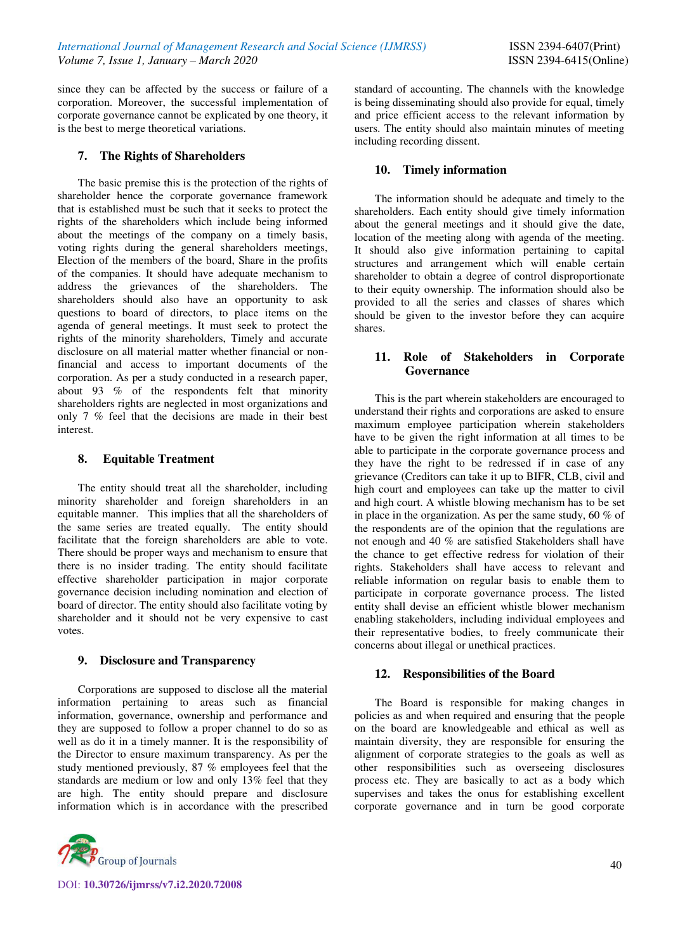since they can be affected by the success or failure of a corporation. Moreover, the successful implementation of corporate governance cannot be explicated by one theory, it is the best to merge theoretical variations.

#### **7. The Rights of Shareholders**

The basic premise this is the protection of the rights of shareholder hence the corporate governance framework that is established must be such that it seeks to protect the rights of the shareholders which include being informed about the meetings of the company on a timely basis, voting rights during the general shareholders meetings, Election of the members of the board, Share in the profits of the companies. It should have adequate mechanism to address the grievances of the shareholders. The shareholders should also have an opportunity to ask questions to board of directors, to place items on the agenda of general meetings. It must seek to protect the rights of the minority shareholders, Timely and accurate disclosure on all material matter whether financial or nonfinancial and access to important documents of the corporation. As per a study conducted in a research paper, about 93 % of the respondents felt that minority shareholders rights are neglected in most organizations and only 7 % feel that the decisions are made in their best interest.

#### **8. Equitable Treatment**

The entity should treat all the shareholder, including minority shareholder and foreign shareholders in an equitable manner. This implies that all the shareholders of the same series are treated equally. The entity should facilitate that the foreign shareholders are able to vote. There should be proper ways and mechanism to ensure that there is no insider trading. The entity should facilitate effective shareholder participation in major corporate governance decision including nomination and election of board of director. The entity should also facilitate voting by shareholder and it should not be very expensive to cast votes.

# **9. Disclosure and Transparency**

Corporations are supposed to disclose all the material information pertaining to areas such as financial information, governance, ownership and performance and they are supposed to follow a proper channel to do so as well as do it in a timely manner. It is the responsibility of the Director to ensure maximum transparency. As per the study mentioned previously, 87 % employees feel that the standards are medium or low and only 13% feel that they are high. The entity should prepare and disclosure information which is in accordance with the prescribed



DOI: **10.30726/ijmrss/v7.i2.2020.72008**

standard of accounting. The channels with the knowledge is being disseminating should also provide for equal, timely and price efficient access to the relevant information by users. The entity should also maintain minutes of meeting including recording dissent.

## **10. Timely information**

The information should be adequate and timely to the shareholders. Each entity should give timely information about the general meetings and it should give the date, location of the meeting along with agenda of the meeting. It should also give information pertaining to capital structures and arrangement which will enable certain shareholder to obtain a degree of control disproportionate to their equity ownership. The information should also be provided to all the series and classes of shares which should be given to the investor before they can acquire shares.

#### **11. Role of Stakeholders in Corporate Governance**

This is the part wherein stakeholders are encouraged to understand their rights and corporations are asked to ensure maximum employee participation wherein stakeholders have to be given the right information at all times to be able to participate in the corporate governance process and they have the right to be redressed if in case of any grievance (Creditors can take it up to BIFR, CLB, civil and high court and employees can take up the matter to civil and high court. A whistle blowing mechanism has to be set in place in the organization. As per the same study, 60 % of the respondents are of the opinion that the regulations are not enough and 40 % are satisfied Stakeholders shall have the chance to get effective redress for violation of their rights. Stakeholders shall have access to relevant and reliable information on regular basis to enable them to participate in corporate governance process. The listed entity shall devise an efficient whistle blower mechanism enabling stakeholders, including individual employees and their representative bodies, to freely communicate their concerns about illegal or unethical practices.

# **12. Responsibilities of the Board**

The Board is responsible for making changes in policies as and when required and ensuring that the people on the board are knowledgeable and ethical as well as maintain diversity, they are responsible for ensuring the alignment of corporate strategies to the goals as well as other responsibilities such as overseeing disclosures process etc. They are basically to act as a body which supervises and takes the onus for establishing excellent corporate governance and in turn be good corporate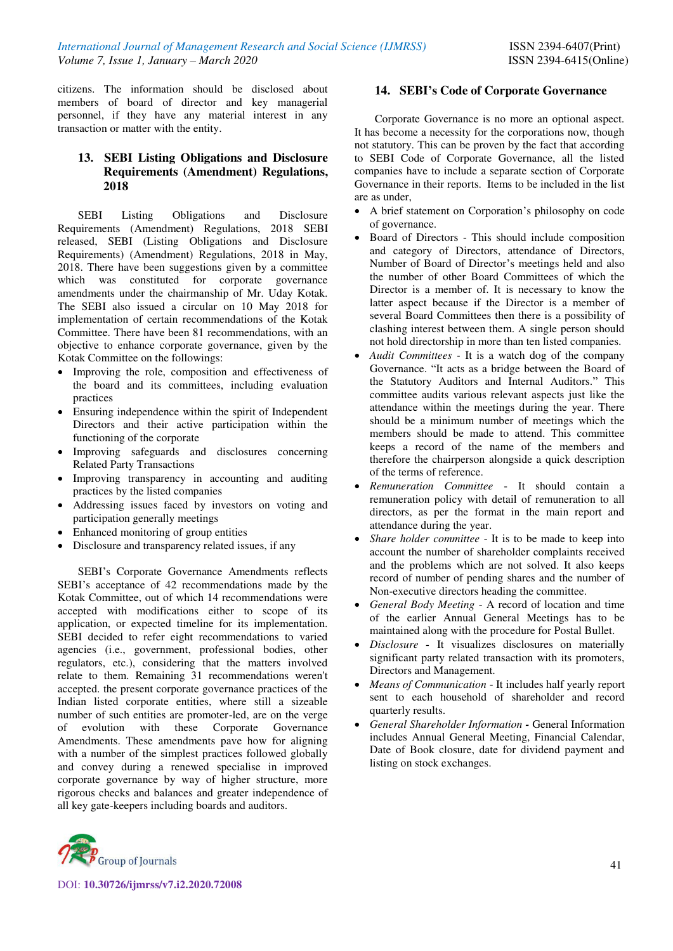citizens. The information should be disclosed about members of board of director and key managerial personnel, if they have any material interest in any transaction or matter with the entity.

# **13. SEBI Listing Obligations and Disclosure Requirements (Amendment) Regulations, 2018**

SEBI Listing Obligations and Disclosure Requirements (Amendment) Regulations, 2018 SEBI released, SEBI (Listing Obligations and Disclosure Requirements) (Amendment) Regulations, 2018 in May, 2018. There have been suggestions given by a committee which was constituted for corporate governance amendments under the chairmanship of Mr. Uday Kotak. The SEBI also issued a circular on 10 May 2018 for implementation of certain recommendations of the Kotak Committee. There have been 81 recommendations, with an objective to enhance corporate governance, given by the Kotak Committee on the followings:

- Improving the role, composition and effectiveness of the board and its committees, including evaluation practices
- Ensuring independence within the spirit of Independent Directors and their active participation within the functioning of the corporate
- Improving safeguards and disclosures concerning Related Party Transactions
- Improving transparency in accounting and auditing practices by the listed companies
- Addressing issues faced by investors on voting and participation generally meetings
- Enhanced monitoring of group entities
- Disclosure and transparency related issues, if any

SEBI's Corporate Governance Amendments reflects SEBI's acceptance of 42 recommendations made by the Kotak Committee, out of which 14 recommendations were accepted with modifications either to scope of its application, or expected timeline for its implementation. SEBI decided to refer eight recommendations to varied agencies (i.e., government, professional bodies, other regulators, etc.), considering that the matters involved relate to them. Remaining 31 recommendations weren't accepted. the present corporate governance practices of the Indian listed corporate entities, where still a sizeable number of such entities are promoter-led, are on the verge of evolution with these Corporate Governance Amendments. These amendments pave how for aligning with a number of the simplest practices followed globally and convey during a renewed specialise in improved corporate governance by way of higher structure, more rigorous checks and balances and greater independence of all key gate-keepers including boards and auditors.



Corporate Governance is no more an optional aspect. It has become a necessity for the corporations now, though not statutory. This can be proven by the fact that according to SEBI Code of Corporate Governance, all the listed companies have to include a separate section of Corporate Governance in their reports. Items to be included in the list are as under,

- A brief statement on Corporation's philosophy on code of governance.
- Board of Directors This should include composition and category of Directors, attendance of Directors, Number of Board of Director's meetings held and also the number of other Board Committees of which the Director is a member of. It is necessary to know the latter aspect because if the Director is a member of several Board Committees then there is a possibility of clashing interest between them. A single person should not hold directorship in more than ten listed companies.
- *Audit Committees -* It is a watch dog of the company Governance. "It acts as a bridge between the Board of the Statutory Auditors and Internal Auditors." This committee audits various relevant aspects just like the attendance within the meetings during the year. There should be a minimum number of meetings which the members should be made to attend. This committee keeps a record of the name of the members and therefore the chairperson alongside a quick description of the terms of reference.
- *Remuneration Committee* It should contain a remuneration policy with detail of remuneration to all directors, as per the format in the main report and attendance during the year.
- *Share holder committee* It is to be made to keep into account the number of shareholder complaints received and the problems which are not solved. It also keeps record of number of pending shares and the number of Non-executive directors heading the committee.
- *General Body Meeting* A record of location and time of the earlier Annual General Meetings has to be maintained along with the procedure for Postal Bullet.
- *Disclosure* It visualizes disclosures on materially significant party related transaction with its promoters, Directors and Management.
- *Means of Communication* It includes half yearly report sent to each household of shareholder and record quarterly results.
- *General Shareholder Information -* General Information includes Annual General Meeting, Financial Calendar, Date of Book closure, date for dividend payment and listing on stock exchanges.

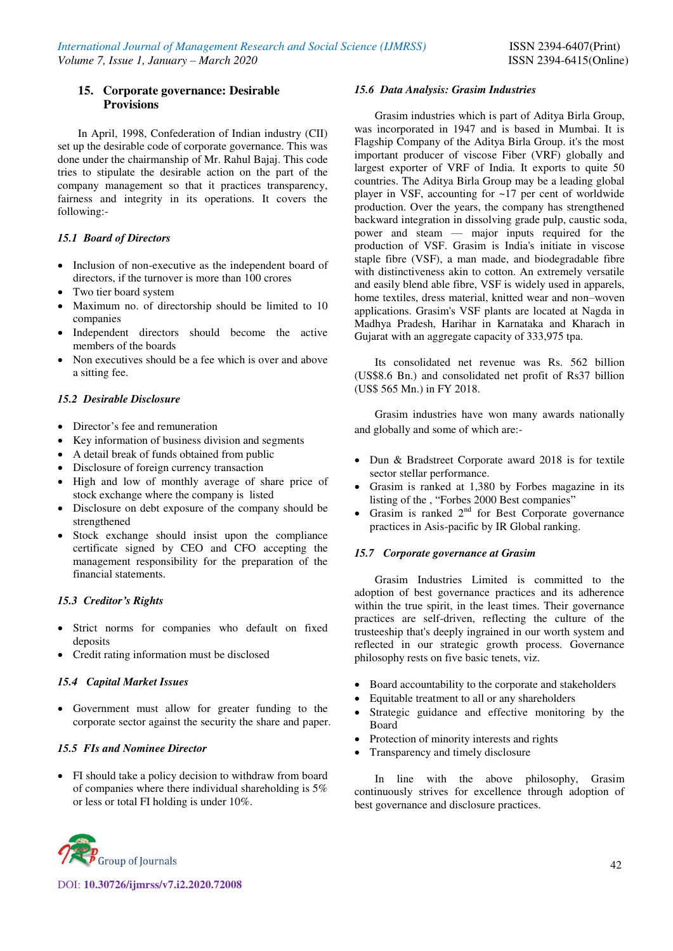### **15. Corporate governance: Desirable Provisions**

In April, 1998, Confederation of Indian industry (CII) set up the desirable code of corporate governance. This was done under the chairmanship of Mr. Rahul Bajaj. This code tries to stipulate the desirable action on the part of the company management so that it practices transparency, fairness and integrity in its operations. It covers the following:-

# *15.1 Board of Directors*

- Inclusion of non-executive as the independent board of directors, if the turnover is more than 100 crores
- Two tier board system
- Maximum no. of directorship should be limited to 10 companies
- Independent directors should become the active members of the boards
- Non executives should be a fee which is over and above a sitting fee.

# *15.2 Desirable Disclosure*

- Director's fee and remuneration
- Key information of business division and segments
- A detail break of funds obtained from public
- Disclosure of foreign currency transaction
- High and low of monthly average of share price of stock exchange where the company is listed
- Disclosure on debt exposure of the company should be strengthened
- Stock exchange should insist upon the compliance certificate signed by CEO and CFO accepting the management responsibility for the preparation of the financial statements.

# *15.3**Creditor's Rights*

- Strict norms for companies who default on fixed deposits
- Credit rating information must be disclosed

# *15.4 Capital Market Issues*

 Government must allow for greater funding to the corporate sector against the security the share and paper.

# *15.5 FIs and Nominee Director*

 FI should take a policy decision to withdraw from board of companies where there individual shareholding is 5% or less or total FI holding is under 10%.

#### *15.6 Data Analysis: Grasim Industries*

Grasim industries which is part of Aditya Birla Group, was incorporated in 1947 and is based in Mumbai. It is Flagship Company of the Aditya Birla Group. it's the most important producer of viscose Fiber (VRF) globally and largest exporter of VRF of India. It exports to quite 50 countries. The Aditya Birla Group may be a leading global player in VSF, accounting for ~17 per cent of worldwide production. Over the years, the company has strengthened backward integration in dissolving grade pulp, caustic soda, power and steam — major inputs required for the production of VSF. Grasim is India's initiate in viscose staple fibre (VSF), a man made, and biodegradable fibre with distinctiveness akin to cotton. An extremely versatile and easily blend able fibre, VSF is widely used in apparels, home textiles, dress material, knitted wear and non–woven applications. Grasim's VSF plants are located at Nagda in Madhya Pradesh, Harihar in Karnataka and Kharach in Gujarat with an aggregate capacity of 333,975 tpa.

Its consolidated net revenue was Rs. 562 billion (US\$8.6 Bn.) and consolidated net profit of Rs37 billion (US\$ 565 Mn.) in FY 2018.

Grasim industries have won many awards nationally and globally and some of which are:-

- Dun & Bradstreet Corporate award 2018 is for textile sector stellar performance.
- Grasim is ranked at 1,380 by Forbes magazine in its listing of the , "Forbes 2000 Best companies"
- Grasim is ranked  $2<sup>nd</sup>$  for Best Corporate governance practices in Asis-pacific by IR Global ranking.

# *15.7 Corporate governance at Grasim*

Grasim Industries Limited is committed to the adoption of best governance practices and its adherence within the true spirit, in the least times. Their governance practices are self-driven, reflecting the culture of the trusteeship that's deeply ingrained in our worth system and reflected in our strategic growth process. Governance philosophy rests on five basic tenets, viz.

- Board accountability to the corporate and stakeholders
- Equitable treatment to all or any shareholders
- Strategic guidance and effective monitoring by the Board
- Protection of minority interests and rights
- Transparency and timely disclosure

In line with the above philosophy, Grasim continuously strives for excellence through adoption of best governance and disclosure practices.

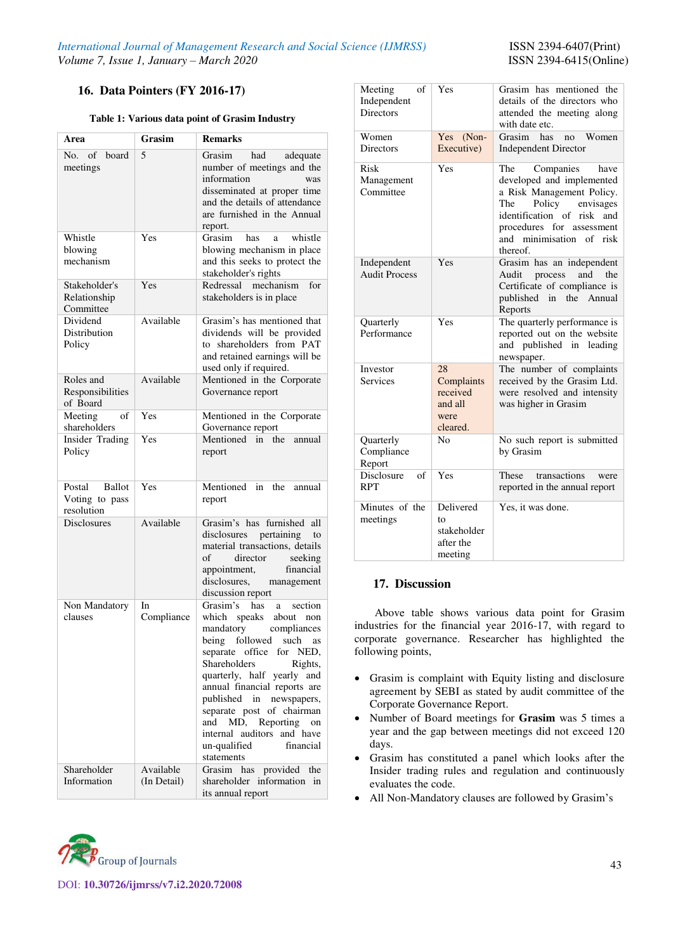### **16. Data Pointers (FY 2016-17)**

#### **Table 1: Various data point of Grasim Industry**

| Area                                                    | Grasim                   | <b>Remarks</b>                                                                                                                                                                                                                                                                                                                                                                                                |  |  |  |  |
|---------------------------------------------------------|--------------------------|---------------------------------------------------------------------------------------------------------------------------------------------------------------------------------------------------------------------------------------------------------------------------------------------------------------------------------------------------------------------------------------------------------------|--|--|--|--|
| No. of board<br>meetings                                | 5                        | Grasim<br>had<br>adequate<br>number of meetings and the<br>information<br>was<br>disseminated at proper time<br>and the details of attendance<br>are furnished in the Annual<br>report.                                                                                                                                                                                                                       |  |  |  |  |
| Whistle<br>blowing<br>mechanism                         | Yes                      | Grasim has<br>whistle<br>a<br>blowing mechanism in place<br>and this seeks to protect the<br>stakeholder's rights                                                                                                                                                                                                                                                                                             |  |  |  |  |
| Stakeholder's<br>Relationship<br>Committee              | Yes                      | Redressal mechanism<br>for<br>stakeholders is in place                                                                                                                                                                                                                                                                                                                                                        |  |  |  |  |
| Dividend<br>Distribution<br>Policy                      | Available                | Grasim's has mentioned that<br>dividends will be provided<br>to shareholders from PAT<br>and retained earnings will be<br>used only if required.                                                                                                                                                                                                                                                              |  |  |  |  |
| Roles and<br>Responsibilities<br>of Board               | Available                | Mentioned in the Corporate<br>Governance report                                                                                                                                                                                                                                                                                                                                                               |  |  |  |  |
| of<br>Meeting<br>shareholders                           | Yes                      | Mentioned in the Corporate<br>Governance report                                                                                                                                                                                                                                                                                                                                                               |  |  |  |  |
| Insider Trading<br>Policy                               | Yes                      | Mentioned in the<br>annual<br>report                                                                                                                                                                                                                                                                                                                                                                          |  |  |  |  |
| Postal<br><b>Ballot</b><br>Voting to pass<br>resolution | Yes                      | Mentioned in the<br>annual<br>report                                                                                                                                                                                                                                                                                                                                                                          |  |  |  |  |
| <b>Disclosures</b>                                      | Available                | Grasim's has furnished<br>all<br>disclosures pertaining<br>to<br>material transactions, details<br>of<br>director<br>seeking<br>financial<br>appointment,<br>disclosures, management<br>discussion report                                                                                                                                                                                                     |  |  |  |  |
| Non Mandatory<br>clauses                                | In<br>Compliance         | Grasim's has<br>a section<br>which speaks about non<br>mandatory<br>compliances<br>being followed<br>such<br>as<br>separate office for NED,<br>Shareholders<br>Rights,<br>quarterly, half yearly and<br>annual financial reports are<br>published<br>in<br>newspapers,<br>separate post of chairman<br>MD, Reporting<br>and<br>on<br>internal auditors<br>and have<br>un-qualified<br>financial<br>statements |  |  |  |  |
| Shareholder<br>Information                              | Available<br>(In Detail) | has<br>provided the<br>Grasim<br>shareholder information in<br>its annual report                                                                                                                                                                                                                                                                                                                              |  |  |  |  |

| Meeting<br>of<br>Independent<br><b>Directors</b><br>Women | Yes<br>Yes (Non-                                            | Grasim has mentioned the<br>details of the directors who<br>attended the meeting along<br>with date etc.<br>Grasim<br>has<br>Women<br>no                                                                                  |
|-----------------------------------------------------------|-------------------------------------------------------------|---------------------------------------------------------------------------------------------------------------------------------------------------------------------------------------------------------------------------|
| <b>Directors</b>                                          | Executive)                                                  | <b>Independent Director</b>                                                                                                                                                                                               |
| Risk<br>Management<br>Committee                           | Yes                                                         | Companies<br>The<br>have<br>developed and implemented<br>a Risk Management Policy.<br>envisages<br>Policy<br>The<br>identification of risk<br>and<br>procedures for assessment<br>and minimisation of<br>risk<br>thereof. |
| Independent<br><b>Audit Process</b>                       | Yes                                                         | Grasim has an independent<br>the<br>Audit<br>process<br>and<br>Certificate of compliance is<br>published<br>in<br>the<br>Annual<br>Reports                                                                                |
| Quarterly<br>Performance                                  | Yes                                                         | The quarterly performance is<br>reported out on the website<br>and published<br>in<br>leading<br>newspaper.                                                                                                               |
| Investor<br><b>Services</b>                               | 28<br>Complaints<br>received<br>and all<br>were<br>cleared. | The number of complaints<br>received by the Grasim Ltd.<br>were resolved and intensity<br>was higher in Grasim                                                                                                            |
| Quarterly<br>Compliance<br>Report                         | N <sub>0</sub>                                              | No such report is submitted<br>by Grasim                                                                                                                                                                                  |
| Disclosure<br>$\sigma$ f<br><b>RPT</b>                    | Yes                                                         | transactions<br>These<br>were<br>reported in the annual report                                                                                                                                                            |
| Minutes of the<br>meetings                                | Delivered<br>to<br>stakeholder<br>after the<br>meeting      | Yes, it was done.                                                                                                                                                                                                         |

#### **17. Discussion**

Above table shows various data point for Grasim industries for the financial year 2016-17, with regard to corporate governance. Researcher has highlighted the following points,

- Grasim is complaint with Equity listing and disclosure agreement by SEBI as stated by audit committee of the Corporate Governance Report.
- Number of Board meetings for **Grasim** was 5 times a year and the gap between meetings did not exceed 120 days.
- Grasim has constituted a panel which looks after the Insider trading rules and regulation and continuously evaluates the code.
- All Non-Mandatory clauses are followed by Grasim's

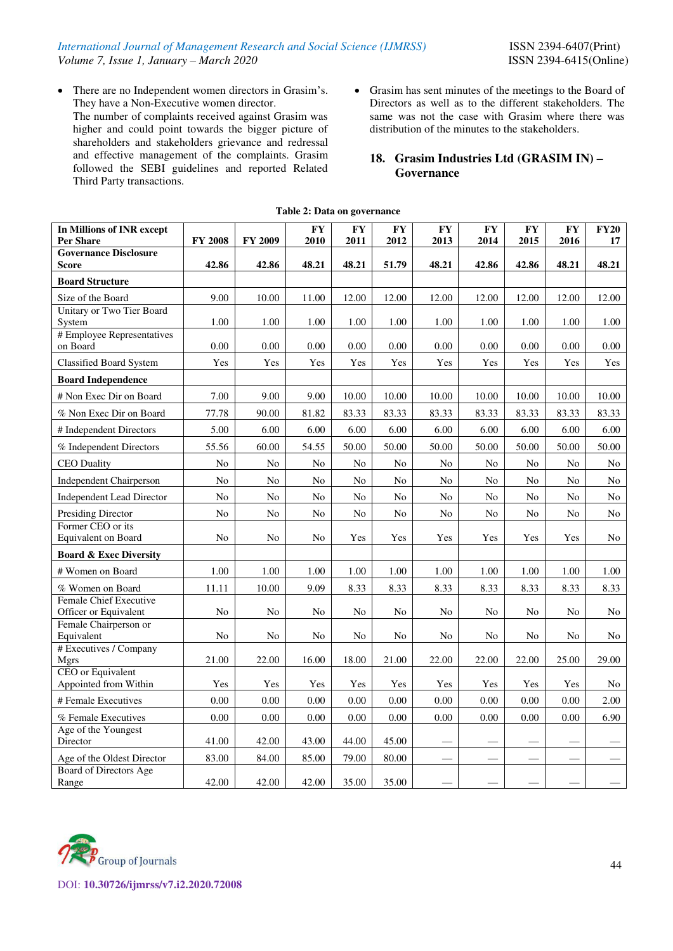There are no Independent women directors in Grasim's. They have a Non-Executive women director.

The number of complaints received against Grasim was higher and could point towards the bigger picture of shareholders and stakeholders grievance and redressal and effective management of the complaints. Grasim followed the SEBI guidelines and reported Related Third Party transactions.

 Grasim has sent minutes of the meetings to the Board of Directors as well as to the different stakeholders. The same was not the case with Grasim where there was distribution of the minutes to the stakeholders.

# **18. Grasim Industries Ltd (GRASIM IN) – Governance**

| In Millions of INR except<br>Per Share       | <b>FY 2008</b> | <b>FY 2009</b> | <b>FY</b><br>2010 | <b>FY</b><br>2011 | <b>FY</b><br>2012 | <b>FY</b><br>2013 | <b>FY</b><br>2014 | <b>FY</b><br>2015 | <b>FY</b><br>2016 | <b>FY20</b><br>17 |
|----------------------------------------------|----------------|----------------|-------------------|-------------------|-------------------|-------------------|-------------------|-------------------|-------------------|-------------------|
| <b>Governance Disclosure</b><br><b>Score</b> | 42.86          | 42.86          | 48.21             | 48.21             | 51.79             | 48.21             | 42.86             | 42.86             | 48.21             | 48.21             |
| <b>Board Structure</b>                       |                |                |                   |                   |                   |                   |                   |                   |                   |                   |
| Size of the Board                            | 9.00           | 10.00          | 11.00             | 12.00             | 12.00             | 12.00             | 12.00             | 12.00             | 12.00             | 12.00             |
| Unitary or Two Tier Board<br>System          | 1.00           | 1.00           | 1.00              | 1.00              | 1.00              | 1.00              | 1.00              | 1.00              | 1.00              | 1.00              |
| # Employee Representatives<br>on Board       | 0.00           | 0.00           | $0.00\,$          | 0.00              | 0.00              | 0.00              | $0.00\,$          | 0.00              | 0.00              | 0.00              |
| <b>Classified Board System</b>               | Yes            | Yes            | Yes               | Yes               | Yes               | Yes               | Yes               | Yes               | Yes               | Yes               |
| <b>Board Independence</b>                    |                |                |                   |                   |                   |                   |                   |                   |                   |                   |
| # Non Exec Dir on Board                      | 7.00           | 9.00           | 9.00              | 10.00             | 10.00             | 10.00             | 10.00             | 10.00             | 10.00             | 10.00             |
| % Non Exec Dir on Board                      | 77.78          | 90.00          | 81.82             | 83.33             | 83.33             | 83.33             | 83.33             | 83.33             | 83.33             | 83.33             |
| # Independent Directors                      | 5.00           | 6.00           | 6.00              | 6.00              | 6.00              | 6.00              | 6.00              | 6.00              | 6.00              | 6.00              |
| % Independent Directors                      | 55.56          | 60.00          | 54.55             | 50.00             | 50.00             | 50.00             | 50.00             | 50.00             | 50.00             | 50.00             |
| <b>CEO</b> Duality                           | N <sub>o</sub> | $\rm No$       | $\rm No$          | No                | No                | No                | N <sub>o</sub>    | No                | No                | No                |
| <b>Independent Chairperson</b>               | N <sub>o</sub> | $\rm No$       | $\rm No$          | $\rm No$          | No                | $\rm No$          | N <sub>o</sub>    | $\rm No$          | $\rm No$          | No                |
| <b>Independent Lead Director</b>             | N <sub>o</sub> | No             | N <sub>o</sub>    | No                | No                | No                | N <sub>o</sub>    | N <sub>o</sub>    | N <sub>o</sub>    | N <sub>o</sub>    |
| <b>Presiding Director</b>                    | N <sub>o</sub> | No             | No                | No                | No                | No                | N <sub>o</sub>    | No                | No                | No                |
| Former CEO or its<br>Equivalent on Board     | N <sub>0</sub> | No             | No                | Yes               | Yes               | Yes               | Yes               | Yes               | Yes               | No                |
| <b>Board &amp; Exec Diversity</b>            |                |                |                   |                   |                   |                   |                   |                   |                   |                   |
| # Women on Board                             | 1.00           | 1.00           | 1.00              | 1.00              | 1.00              | 1.00              | 1.00              | 1.00              | 1.00              | 1.00              |
| % Women on Board                             | 11.11          | 10.00          | 9.09              | 8.33              | 8.33              | 8.33              | 8.33              | 8.33              | 8.33              | 8.33              |
| <b>Female Chief Executive</b>                |                |                |                   |                   |                   |                   |                   |                   |                   |                   |
| Officer or Equivalent                        | N <sub>o</sub> | No             | No                | No                | No                | No                | No                | No                | No                | N <sub>o</sub>    |
| Female Chairperson or<br>Equivalent          | No             | No             | No                | No                | No                | No                | No                | No                | No                | No                |
| # Executives / Company                       |                |                |                   |                   |                   |                   |                   |                   |                   |                   |
| <b>Mgrs</b>                                  | 21.00          | 22.00          | 16.00             | 18.00             | 21.00             | 22.00             | 22.00             | 22.00             | 25.00             | 29.00             |
| CEO or Equivalent<br>Appointed from Within   | Yes            | Yes            | Yes               | Yes               | Yes               | Yes               | Yes               | Yes               | Yes               | No                |
| # Female Executives                          | 0.00           | 0.00           | 0.00              | 0.00              | 0.00              | 0.00              | 0.00              | 0.00              | 0.00              | 2.00              |
| % Female Executives                          | 0.00           | 0.00           | $0.00\,$          | 0.00              | 0.00              | 0.00              | 0.00              | 0.00              | 0.00              | 6.90              |
| Age of the Youngest<br>Director              | 41.00          | 42.00          | 43.00             | 44.00             | 45.00             |                   |                   |                   |                   |                   |
| Age of the Oldest Director                   | 83.00          | 84.00          | 85.00             | 79.00             | 80.00             |                   |                   |                   |                   |                   |
| Board of Directors Age<br>Range              | 42.00          | 42.00          | 42.00             | 35.00             | 35.00             |                   |                   |                   |                   |                   |

#### **Table 2: Data on governance**

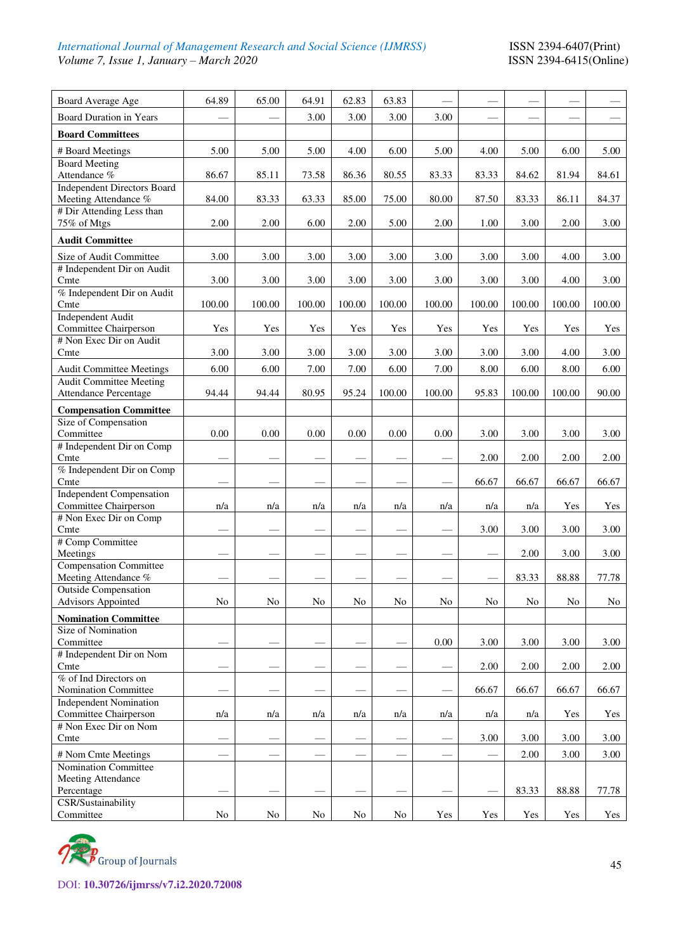# *International Journal of Management Research and Social Science (IJMRSS)* **ISSN 2394-6407(Print)** *Volume 7, Issue 1, January – March 2020* **ISSN 2394-6415(Online)** *Volume 7, Issue 1, January – March 2020*

| Board Average Age                                              | 64.89                    | 65.00    | 64.91  | 62.83  | 63.83  |          |        |        |        |        |
|----------------------------------------------------------------|--------------------------|----------|--------|--------|--------|----------|--------|--------|--------|--------|
| <b>Board Duration in Years</b>                                 |                          |          | 3.00   | 3.00   | 3.00   | 3.00     |        |        |        |        |
| <b>Board Committees</b>                                        |                          |          |        |        |        |          |        |        |        |        |
|                                                                |                          |          |        |        |        |          |        |        |        |        |
| # Board Meetings<br><b>Board Meeting</b>                       | 5.00                     | 5.00     | 5.00   | 4.00   | 6.00   | 5.00     | 4.00   | 5.00   | 6.00   | 5.00   |
| Attendance %                                                   | 86.67                    | 85.11    | 73.58  | 86.36  | 80.55  | 83.33    | 83.33  | 84.62  | 81.94  | 84.61  |
| <b>Independent Directors Board</b>                             |                          |          |        |        |        |          |        |        |        |        |
| Meeting Attendance %                                           | 84.00                    | 83.33    | 63.33  | 85.00  | 75.00  | 80.00    | 87.50  | 83.33  | 86.11  | 84.37  |
| # Dir Attending Less than                                      |                          |          |        |        |        |          |        |        |        |        |
| 75% of Mtgs                                                    | 2.00                     | 2.00     | 6.00   | 2.00   | 5.00   | 2.00     | 1.00   | 3.00   | 2.00   | 3.00   |
| <b>Audit Committee</b>                                         |                          |          |        |        |        |          |        |        |        |        |
| Size of Audit Committee                                        | 3.00                     | 3.00     | 3.00   | 3.00   | 3.00   | 3.00     | 3.00   | 3.00   | 4.00   | 3.00   |
| # Independent Dir on Audit                                     |                          |          |        |        |        |          |        |        |        |        |
| Cmte<br>% Independent Dir on Audit                             | 3.00                     | 3.00     | 3.00   | 3.00   | 3.00   | 3.00     | 3.00   | 3.00   | 4.00   | 3.00   |
| Cmte                                                           | 100.00                   | 100.00   | 100.00 | 100.00 | 100.00 | 100.00   | 100.00 | 100.00 | 100.00 | 100.00 |
| <b>Independent Audit</b>                                       |                          |          |        |        |        |          |        |        |        |        |
| Committee Chairperson                                          | Yes                      | Yes      | Yes    | Yes    | Yes    | Yes      | Yes    | Yes    | Yes    | Yes    |
| # Non Exec Dir on Audit<br>Cmte                                | 3.00                     |          |        | 3.00   | 3.00   |          |        |        | 4.00   |        |
|                                                                |                          | 3.00     | 3.00   |        |        | 3.00     | 3.00   | 3.00   |        | 3.00   |
| <b>Audit Committee Meetings</b>                                | 6.00                     | 6.00     | 7.00   | 7.00   | 6.00   | 7.00     | 8.00   | 6.00   | 8.00   | 6.00   |
| <b>Audit Committee Meeting</b><br><b>Attendance Percentage</b> | 94.44                    | 94.44    | 80.95  | 95.24  | 100.00 | 100.00   | 95.83  | 100.00 | 100.00 | 90.00  |
|                                                                |                          |          |        |        |        |          |        |        |        |        |
| <b>Compensation Committee</b><br>Size of Compensation          |                          |          |        |        |        |          |        |        |        |        |
| Committee                                                      | 0.00                     | 0.00     | 0.00   | 0.00   | 0.00   | 0.00     | 3.00   | 3.00   | 3.00   | 3.00   |
| # Independent Dir on Comp                                      |                          |          |        |        |        |          |        |        |        |        |
| Cmte                                                           |                          |          |        |        |        |          | 2.00   | 2.00   | 2.00   | 2.00   |
| % Independent Dir on Comp                                      |                          |          |        |        |        |          |        |        |        |        |
| Cmte<br><b>Independent Compensation</b>                        |                          |          |        |        |        |          | 66.67  | 66.67  | 66.67  | 66.67  |
| Committee Chairperson                                          | n/a                      | n/a      | n/a    | n/a    | n/a    | n/a      | n/a    | n/a    | Yes    | Yes    |
| # Non Exec Dir on Comp                                         |                          |          |        |        |        |          |        |        |        |        |
| Cmte                                                           |                          |          |        |        |        |          | 3.00   | 3.00   | 3.00   | 3.00   |
| # Comp Committee<br>Meetings                                   |                          |          |        |        |        |          |        | 2.00   | 3.00   | 3.00   |
| <b>Compensation Committee</b>                                  |                          |          |        |        |        |          |        |        |        |        |
| Meeting Attendance %                                           |                          |          |        |        |        |          |        | 83.33  | 88.88  | 77.78  |
| <b>Outside Compensation</b>                                    |                          |          |        |        |        |          |        |        |        |        |
| Advisors Appointed                                             | $\rm No$                 | $\rm No$ | No     | No     | No     | $\rm No$ | No     | No     | No     | No     |
| <b>Nomination Committee</b>                                    |                          |          |        |        |        |          |        |        |        |        |
| <b>Size of Nomination</b>                                      |                          |          |        |        |        |          |        |        |        |        |
| Committee<br># Independent Dir on Nom                          |                          |          |        |        |        | $0.00\,$ | 3.00   | 3.00   | 3.00   | 3.00   |
| Cmte                                                           |                          |          |        |        |        |          | 2.00   | 2.00   | 2.00   | 2.00   |
| % of Ind Directors on                                          |                          |          |        |        |        |          |        |        |        |        |
| Nomination Committee                                           |                          |          |        |        |        |          | 66.67  | 66.67  | 66.67  | 66.67  |
| <b>Independent Nomination</b>                                  |                          |          |        |        |        |          |        |        |        |        |
| Committee Chairperson<br># Non Exec Dir on Nom                 | n/a                      | n/a      | n/a    | n/a    | n/a    | n/a      | n/a    | n/a    | Yes    | Yes    |
| Cmte                                                           |                          |          |        |        |        |          | 3.00   | 3.00   | 3.00   | 3.00   |
| # Nom Cmte Meetings                                            | $\overline{\phantom{0}}$ |          |        | $\sim$ |        |          |        | 2.00   | 3.00   | 3.00   |
| Nomination Committee                                           |                          |          |        |        |        |          |        |        |        |        |
| Meeting Attendance                                             |                          |          |        |        |        |          |        |        |        |        |
| Percentage                                                     |                          |          |        |        |        |          |        | 83.33  | 88.88  | 77.78  |
| CSR/Sustainability                                             |                          |          |        |        |        |          |        |        |        |        |
| Committee                                                      | $\rm No$                 | $\rm No$ | No     | No     | No     | Yes      | Yes    | Yes    | Yes    | Yes    |



DOI: **10.30726/ijmrss/v7.i2.2020.72008**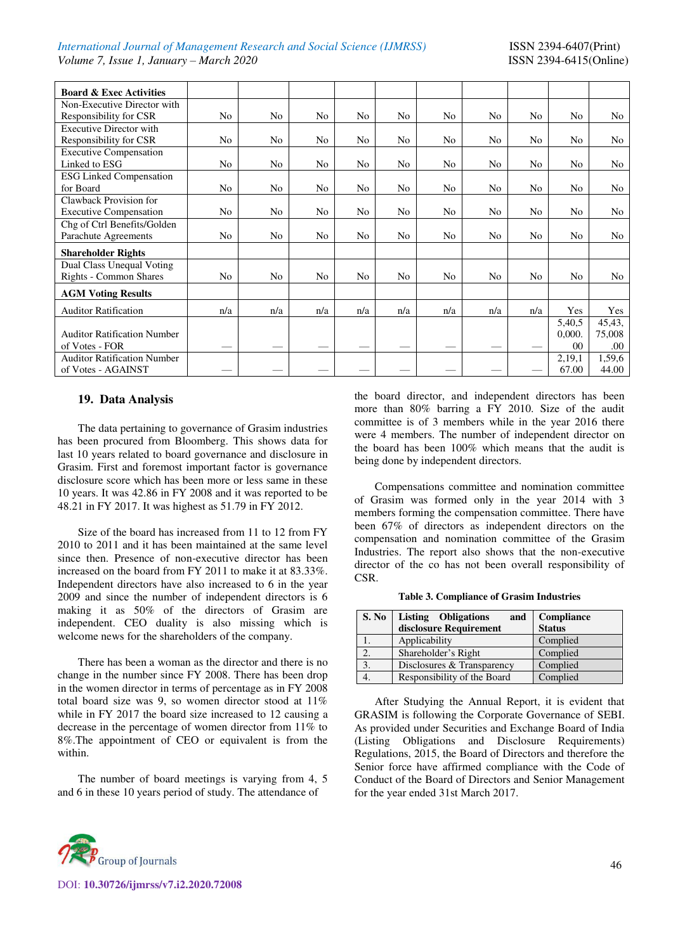#### *International Journal of Management Research and Social Science (IJMRSS)* ISSN 2394-6407(Print) *Volume 7, Issue 1, January – March 2020* ISSN 2394-6415(Online)

| <b>Board &amp; Exec Activities</b> |     |                |                |                |                |                |                |                |                 |                |
|------------------------------------|-----|----------------|----------------|----------------|----------------|----------------|----------------|----------------|-----------------|----------------|
| Non-Executive Director with        |     |                |                |                |                |                |                |                |                 |                |
| Responsibility for CSR             | No  | N <sub>o</sub> | No             | No             | No             | No             | No             | No             | No              | No             |
| <b>Executive Director with</b>     |     |                |                |                |                |                |                |                |                 |                |
| Responsibility for CSR             | No  | N <sub>o</sub> | No             | No.            | N <sub>o</sub> | N <sub>0</sub> | N <sub>o</sub> | No             | N <sub>o</sub>  | N <sub>0</sub> |
| <b>Executive Compensation</b>      |     |                |                |                |                |                |                |                |                 |                |
| Linked to ESG                      | No  | N <sub>o</sub> | N <sub>o</sub> | No             | No             | No             | No             | No             | No              | No             |
| <b>ESG Linked Compensation</b>     |     |                |                |                |                |                |                |                |                 |                |
| for Board                          | No  | N <sub>o</sub> | N <sub>o</sub> | N <sub>o</sub> | N <sub>o</sub> | N <sub>o</sub> | N <sub>o</sub> | N <sub>o</sub> | N <sub>o</sub>  | N <sub>o</sub> |
| Clawback Provision for             |     |                |                |                |                |                |                |                |                 |                |
| <b>Executive Compensation</b>      | No  | N <sub>o</sub> | No             | No             | No             | No             | No             | No             | No              | No             |
| Chg of Ctrl Benefits/Golden        |     |                |                |                |                |                |                |                |                 |                |
| Parachute Agreements               | No  | N <sub>o</sub> | No             | N <sub>o</sub> | N <sub>o</sub> | N <sub>o</sub> | N <sub>o</sub> | No             | N <sub>o</sub>  | No.            |
| <b>Shareholder Rights</b>          |     |                |                |                |                |                |                |                |                 |                |
| Dual Class Unequal Voting          |     |                |                |                |                |                |                |                |                 |                |
| <b>Rights - Common Shares</b>      | No  | No             | N <sub>o</sub> | No             | No             | No             | No             | No             | N <sub>o</sub>  | No             |
| <b>AGM Voting Results</b>          |     |                |                |                |                |                |                |                |                 |                |
| <b>Auditor Ratification</b>        | n/a | n/a            | n/a            | n/a            | n/a            | n/a            | n/a            | n/a            | Yes             | Yes            |
|                                    |     |                |                |                |                |                |                |                | 5,40.5          | 45,43,         |
| <b>Auditor Ratification Number</b> |     |                |                |                |                |                |                |                | 0,000.          | 75,008         |
| of Votes - FOR                     |     |                |                |                |                |                |                |                | 00 <sup>0</sup> | .00.           |
| <b>Auditor Ratification Number</b> |     |                |                |                |                |                |                |                | 2,19,1          | 1,59,6         |
| of Votes - AGAINST                 |     |                |                |                |                |                |                |                | 67.00           | 44.00          |

#### **19. Data Analysis**

The data pertaining to governance of Grasim industries has been procured from Bloomberg. This shows data for last 10 years related to board governance and disclosure in Grasim. First and foremost important factor is governance disclosure score which has been more or less same in these 10 years. It was 42.86 in FY 2008 and it was reported to be 48.21 in FY 2017. It was highest as 51.79 in FY 2012.

Size of the board has increased from 11 to 12 from FY 2010 to 2011 and it has been maintained at the same level since then. Presence of non-executive director has been increased on the board from FY 2011 to make it at 83.33%. Independent directors have also increased to 6 in the year 2009 and since the number of independent directors is 6 making it as 50% of the directors of Grasim are independent. CEO duality is also missing which is welcome news for the shareholders of the company.

There has been a woman as the director and there is no change in the number since FY 2008. There has been drop in the women director in terms of percentage as in FY 2008 total board size was 9, so women director stood at 11% while in FY 2017 the board size increased to 12 causing a decrease in the percentage of women director from 11% to 8%.The appointment of CEO or equivalent is from the within.

The number of board meetings is varying from 4, 5 and 6 in these 10 years period of study. The attendance of



DOI: **10.30726/ijmrss/v7.i2.2020.72008**

the board director, and independent directors has been more than 80% barring a FY 2010. Size of the audit committee is of 3 members while in the year 2016 there were 4 members. The number of independent director on the board has been 100% which means that the audit is being done by independent directors.

Compensations committee and nomination committee of Grasim was formed only in the year 2014 with 3 members forming the compensation committee. There have been 67% of directors as independent directors on the compensation and nomination committee of the Grasim Industries. The report also shows that the non-executive director of the co has not been overall responsibility of CSR.

|  | Table 3. Compliance of Grasim Industries |  |  |
|--|------------------------------------------|--|--|
|--|------------------------------------------|--|--|

| S. No | <b>Listing Obligations</b><br>and | Compliance    |
|-------|-----------------------------------|---------------|
|       | disclosure Requirement            | <b>Status</b> |
|       | Applicability                     | Complied      |
|       | Shareholder's Right               | Complied      |
| 3.    | Disclosures & Transparency        | Complied      |
|       | Responsibility of the Board       | Complied      |

After Studying the Annual Report, it is evident that GRASIM is following the Corporate Governance of SEBI. As provided under Securities and Exchange Board of India (Listing Obligations and Disclosure Requirements) Regulations, 2015, the Board of Directors and therefore the Senior force have affirmed compliance with the Code of Conduct of the Board of Directors and Senior Management for the year ended 31st March 2017.